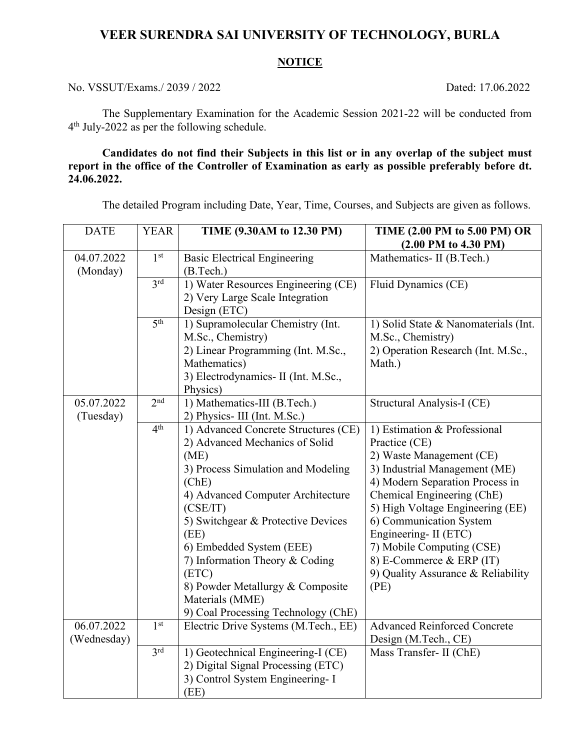## **VEER SURENDRA SAI UNIVERSITY OF TECHNOLOGY, BURLA**

## **NOTICE**

No. VSSUT/Exams./ 2039 / 2022 Dated: 17.06.2022

The Supplementary Examination for the Academic Session 2021-22 will be conducted from 4 th July-2022 as per the following schedule.

**Candidates do not find their Subjects in this list or in any overlap of the subject must report in the office of the Controller of Examination as early as possible preferably before dt. 24.06.2022.**

The detailed Program including Date, Year, Time, Courses, and Subjects are given as follows.

| <b>DATE</b>               | <b>YEAR</b>     | TIME (9.30AM to 12.30 PM)                                                                                                                                                                                                                                                                                                                                                                         | TIME (2.00 PM to 5.00 PM) OR<br>$(2.00$ PM to 4.30 PM)                                                                                                                                                                                                                                                                                                                     |
|---------------------------|-----------------|---------------------------------------------------------------------------------------------------------------------------------------------------------------------------------------------------------------------------------------------------------------------------------------------------------------------------------------------------------------------------------------------------|----------------------------------------------------------------------------------------------------------------------------------------------------------------------------------------------------------------------------------------------------------------------------------------------------------------------------------------------------------------------------|
| 04.07.2022<br>(Monday)    | 1 <sup>st</sup> | <b>Basic Electrical Engineering</b><br>(B.Tech.)                                                                                                                                                                                                                                                                                                                                                  | Mathematics- II (B.Tech.)                                                                                                                                                                                                                                                                                                                                                  |
|                           | 3rd             | 1) Water Resources Engineering (CE)<br>2) Very Large Scale Integration<br>Design (ETC)                                                                                                                                                                                                                                                                                                            | Fluid Dynamics (CE)                                                                                                                                                                                                                                                                                                                                                        |
|                           | 5 <sup>th</sup> | 1) Supramolecular Chemistry (Int.<br>M.Sc., Chemistry)                                                                                                                                                                                                                                                                                                                                            | 1) Solid State & Nanomaterials (Int.<br>M.Sc., Chemistry)                                                                                                                                                                                                                                                                                                                  |
|                           |                 | 2) Linear Programming (Int. M.Sc.,<br>Mathematics)<br>3) Electrodynamics- II (Int. M.Sc.,<br>Physics)                                                                                                                                                                                                                                                                                             | 2) Operation Research (Int. M.Sc.,<br>Math.)                                                                                                                                                                                                                                                                                                                               |
| 05.07.2022<br>(Tuesday)   | 2 <sup>nd</sup> | 1) Mathematics-III (B.Tech.)<br>2) Physics- III (Int. M.Sc.)                                                                                                                                                                                                                                                                                                                                      | Structural Analysis-I (CE)                                                                                                                                                                                                                                                                                                                                                 |
|                           | 4 <sup>th</sup> | 1) Advanced Concrete Structures (CE)<br>2) Advanced Mechanics of Solid<br>(ME)<br>3) Process Simulation and Modeling<br>(ChE)<br>4) Advanced Computer Architecture<br>(CSE/IT)<br>5) Switchgear & Protective Devices<br>(EE)<br>6) Embedded System (EEE)<br>7) Information Theory & Coding<br>(ETC)<br>8) Powder Metallurgy & Composite<br>Materials (MME)<br>9) Coal Processing Technology (ChE) | 1) Estimation & Professional<br>Practice (CE)<br>2) Waste Management (CE)<br>3) Industrial Management (ME)<br>4) Modern Separation Process in<br>Chemical Engineering (ChE)<br>5) High Voltage Engineering (EE)<br>6) Communication System<br>Engineering- II (ETC)<br>7) Mobile Computing (CSE)<br>8) E-Commerce & ERP (IT)<br>9) Quality Assurance & Reliability<br>(PE) |
| 06.07.2022<br>(Wednesday) | 1 <sup>st</sup> | Electric Drive Systems (M.Tech., EE)                                                                                                                                                                                                                                                                                                                                                              | <b>Advanced Reinforced Concrete</b><br>Design (M.Tech., CE)                                                                                                                                                                                                                                                                                                                |
|                           | 3 <sup>rd</sup> | 1) Geotechnical Engineering-I (CE)<br>2) Digital Signal Processing (ETC)<br>3) Control System Engineering- I<br>(EE)                                                                                                                                                                                                                                                                              | Mass Transfer- II (ChE)                                                                                                                                                                                                                                                                                                                                                    |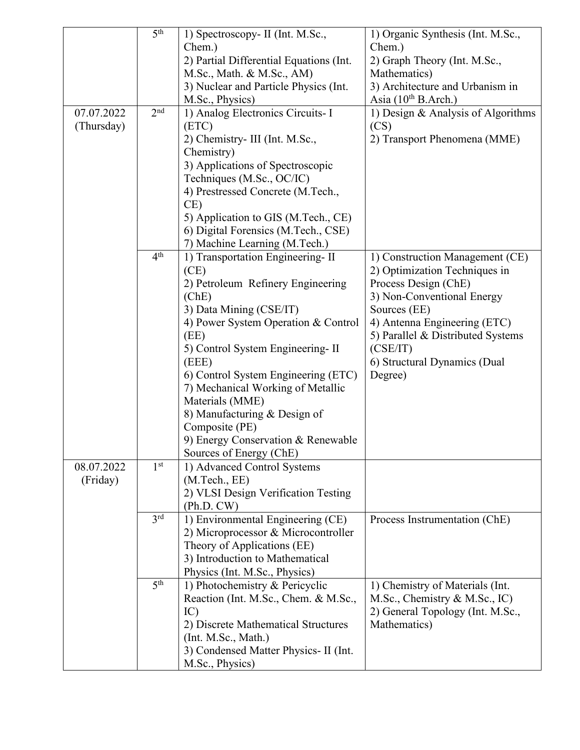|                          | 5 <sup>th</sup>        | 1) Spectroscopy- II (Int. M.Sc.,<br>Chem.)<br>2) Partial Differential Equations (Int.<br>M.Sc., Math. & M.Sc., AM)<br>3) Nuclear and Particle Physics (Int.                                                                                                                                                                                                                                                                     | 1) Organic Synthesis (Int. M.Sc.,<br>Chem.)<br>2) Graph Theory (Int. M.Sc.,<br>Mathematics)<br>3) Architecture and Urbanism in                                                                                                                                     |
|--------------------------|------------------------|---------------------------------------------------------------------------------------------------------------------------------------------------------------------------------------------------------------------------------------------------------------------------------------------------------------------------------------------------------------------------------------------------------------------------------|--------------------------------------------------------------------------------------------------------------------------------------------------------------------------------------------------------------------------------------------------------------------|
| 07.07.2022<br>(Thursday) | 2 <sup>nd</sup>        | M.Sc., Physics)<br>1) Analog Electronics Circuits- I<br>(ETC)<br>2) Chemistry- III (Int. M.Sc.,<br>Chemistry)<br>3) Applications of Spectroscopic<br>Techniques (M.Sc., OC/IC)<br>4) Prestressed Concrete (M.Tech.,<br>CE)<br>5) Application to GIS (M.Tech., CE)<br>6) Digital Forensics (M.Tech., CSE)<br>7) Machine Learning (M.Tech.)                                                                                       | Asia $(10^{th}$ B.Arch.)<br>1) Design & Analysis of Algorithms<br>(CS)<br>2) Transport Phenomena (MME)                                                                                                                                                             |
|                          | 4 <sup>th</sup>        | 1) Transportation Engineering-II<br>(CE)<br>2) Petroleum Refinery Engineering<br>(ChE)<br>3) Data Mining (CSE/IT)<br>4) Power System Operation & Control<br>(EE)<br>5) Control System Engineering-II<br>(EEE)<br>6) Control System Engineering (ETC)<br>7) Mechanical Working of Metallic<br>Materials (MME)<br>8) Manufacturing & Design of<br>Composite (PE)<br>9) Energy Conservation & Renewable<br>Sources of Energy (ChE) | 1) Construction Management (CE)<br>2) Optimization Techniques in<br>Process Design (ChE)<br>3) Non-Conventional Energy<br>Sources (EE)<br>4) Antenna Engineering (ETC)<br>5) Parallel & Distributed Systems<br>(CSE/IT)<br>6) Structural Dynamics (Dual<br>Degree) |
| 08.07.2022<br>(Friday)   | 1 <sup>st</sup><br>3rd | 1) Advanced Control Systems<br>(M. Tech., EE)<br>2) VLSI Design Verification Testing<br>(Ph.D. CW)<br>1) Environmental Engineering (CE)<br>2) Microprocessor & Microcontroller                                                                                                                                                                                                                                                  | Process Instrumentation (ChE)                                                                                                                                                                                                                                      |
|                          | 5 <sup>th</sup>        | Theory of Applications (EE)<br>3) Introduction to Mathematical<br>Physics (Int. M.Sc., Physics)<br>1) Photochemistry & Pericyclic<br>Reaction (Int. M.Sc., Chem. & M.Sc.,<br>IC)<br>2) Discrete Mathematical Structures<br>(Int. M.Sc., Math.)                                                                                                                                                                                  | 1) Chemistry of Materials (Int.<br>M.Sc., Chemistry & M.Sc., IC)<br>2) General Topology (Int. M.Sc.,<br>Mathematics)                                                                                                                                               |
|                          |                        | 3) Condensed Matter Physics- II (Int.<br>M.Sc., Physics)                                                                                                                                                                                                                                                                                                                                                                        |                                                                                                                                                                                                                                                                    |